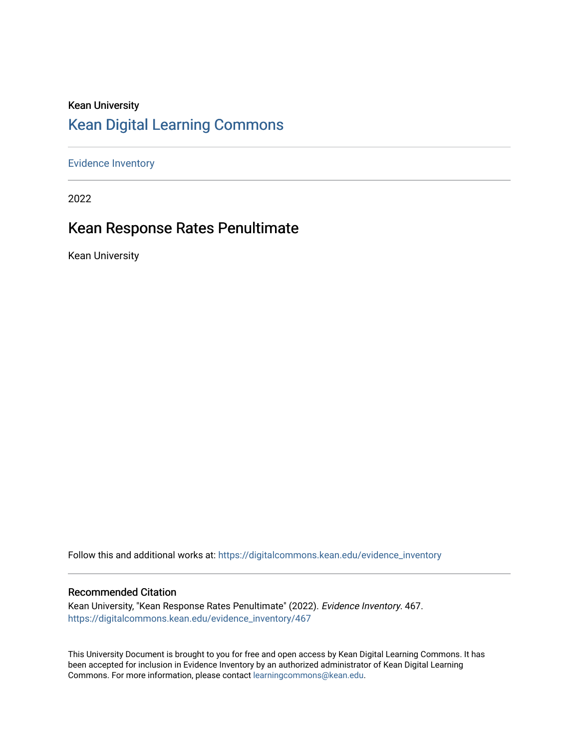#### Kean University [Kean Digital Learning Commons](https://digitalcommons.kean.edu/)

[Evidence Inventory](https://digitalcommons.kean.edu/evidence_inventory) 

2022

# Kean Response Rates Penultimate

Kean University

Follow this and additional works at: [https://digitalcommons.kean.edu/evidence\\_inventory](https://digitalcommons.kean.edu/evidence_inventory?utm_source=digitalcommons.kean.edu%2Fevidence_inventory%2F467&utm_medium=PDF&utm_campaign=PDFCoverPages)

#### Recommended Citation

Kean University, "Kean Response Rates Penultimate" (2022). Evidence Inventory. 467. [https://digitalcommons.kean.edu/evidence\\_inventory/467](https://digitalcommons.kean.edu/evidence_inventory/467?utm_source=digitalcommons.kean.edu%2Fevidence_inventory%2F467&utm_medium=PDF&utm_campaign=PDFCoverPages)

This University Document is brought to you for free and open access by Kean Digital Learning Commons. It has been accepted for inclusion in Evidence Inventory by an authorized administrator of Kean Digital Learning Commons. For more information, please contact [learningcommons@kean.edu.](mailto:learningcommons@kean.edu)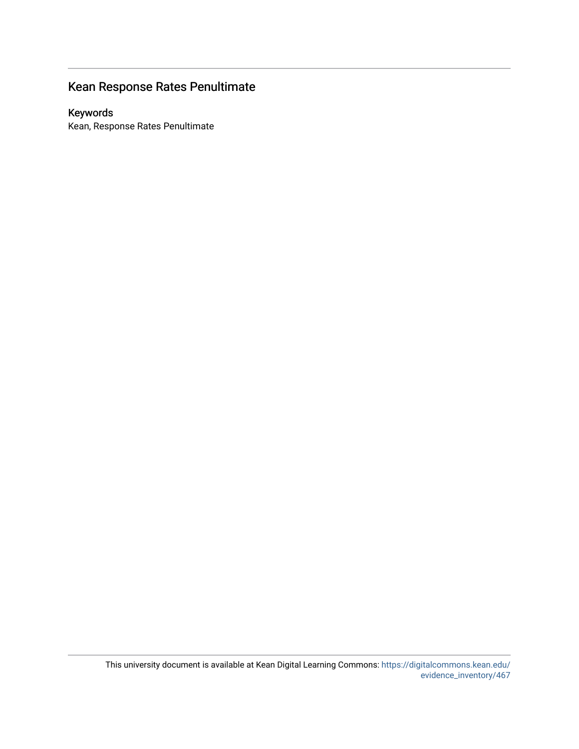# Kean Response Rates Penultimate

#### Keywords

Kean, Response Rates Penultimate